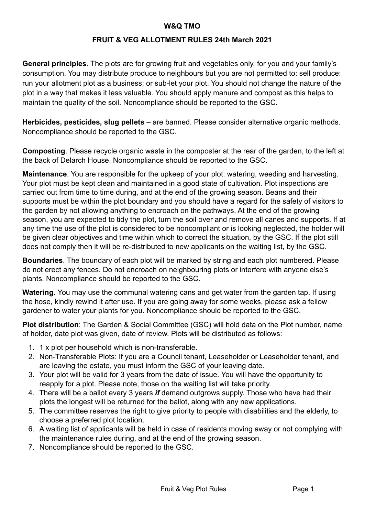#### **W&Q TMO**

#### **FRUIT & VEG ALLOTMENT RULES 24th March 2021**

**General principles**. The plots are for growing fruit and vegetables only, for you and your family's consumption. You may distribute produce to neighbours but you are not permitted to: sell produce: run your allotment plot as a business; or sub-let your plot. You should not change the nature of the plot in a way that makes it less valuable. You should apply manure and compost as this helps to maintain the quality of the soil. Noncompliance should be reported to the GSC.

**Herbicides, pesticides, slug pellets** – are banned. Please consider alternative organic methods. Noncompliance should be reported to the GSC.

**Composting**. Please recycle organic waste in the composter at the rear of the garden, to the left at the back of Delarch House. Noncompliance should be reported to the GSC.

**Maintenance**. You are responsible for the upkeep of your plot: watering, weeding and harvesting. Your plot must be kept clean and maintained in a good state of cultivation. Plot inspections are carried out from time to time during, and at the end of the growing season. Beans and their supports must be within the plot boundary and you should have a regard for the safety of visitors to the garden by not allowing anything to encroach on the pathways. At the end of the growing season, you are expected to tidy the plot, turn the soil over and remove all canes and supports. If at any time the use of the plot is considered to be noncompliant or is looking neglected, the holder will be given clear objectives and time within which to correct the situation, by the GSC. If the plot still does not comply then it will be re-distributed to new applicants on the waiting list, by the GSC.

**Boundaries**. The boundary of each plot will be marked by string and each plot numbered. Please do not erect any fences. Do not encroach on neighbouring plots or interfere with anyone else's plants. Noncompliance should be reported to the GSC.

**Watering.** You may use the communal watering cans and get water from the garden tap. If using the hose, kindly rewind it after use. If you are going away for some weeks, please ask a fellow gardener to water your plants for you. Noncompliance should be reported to the GSC.

**Plot distribution**: The Garden & Social Committee (GSC) will hold data on the Plot number, name of holder, date plot was given, date of review. Plots will be distributed as follows:

- 1. 1 x plot per household which is non-transferable.
- 2. Non-Transferable Plots: If you are a Council tenant, Leaseholder or Leaseholder tenant, and are leaving the estate, you must inform the GSC of your leaving date.
- 3. Your plot will be valid for 3 years from the date of issue. You will have the opportunity to reapply for a plot. Please note, those on the waiting list will take priority.
- 4. There will be a ballot every 3 years *if* demand outgrows supply. Those who have had their plots the longest will be returned for the ballot, along with any new applications.
- 5. The committee reserves the right to give priority to people with disabilities and the elderly, to choose a preferred plot location.
- 6. A waiting list of applicants will be held in case of residents moving away or not complying with the maintenance rules during, and at the end of the growing season.
- 7. Noncompliance should be reported to the GSC.